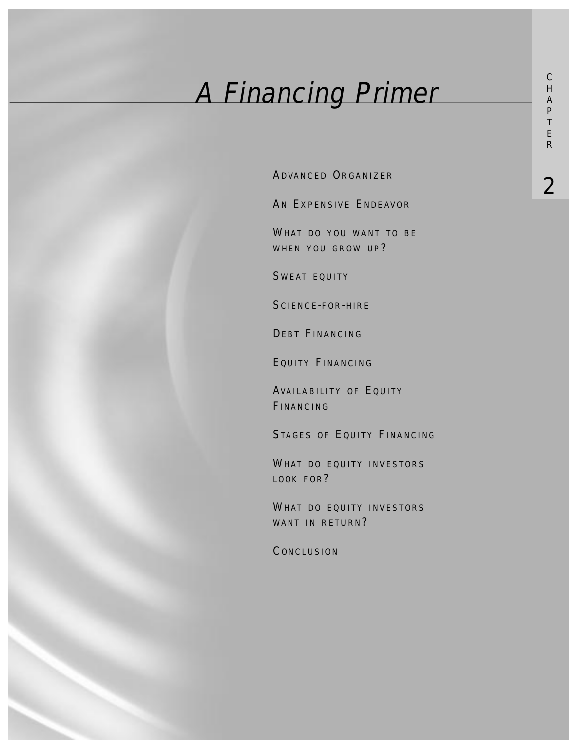# A Financing Primer

ADVANCED ORGANIZER<br>2

AN EXPENSIVE ENDEAVOR

WHAT DO YOU WANT TO BE WHEN YOU GROW UP?

SWEAT EQUITY

SCIENCE-FOR-HIRE

DEBT FINANCING

EQUITY FINANCING

AVAILABILITY OF EQUITY FINANCING

STAGES OF EQUITY FINANCING

WHAT DO EQUITY INVESTORS LOOK FOR?

WHAT DO EQUITY INVESTORS WANT IN RETURN?

**CONCLUSION**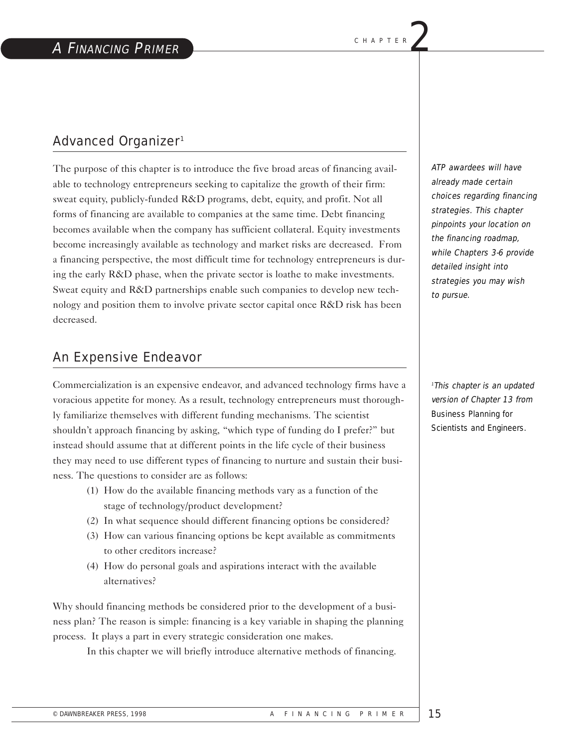# Advanced Organizer1

The purpose of this chapter is to introduce the five broad areas of financing available to technology entrepreneurs seeking to capitalize the growth of their firm: sweat equity, publicly-funded R&D programs, debt, equity, and profit. Not all forms of financing are available to companies at the same time. Debt financing becomes available when the company has sufficient collateral. Equity investments become increasingly available as technology and market risks are decreased. From a financing perspective, the most difficult time for technology entrepreneurs is during the early R&D phase, when the private sector is loathe to make investments. Sweat equity and R&D partnerships enable such companies to develop new technology and position them to involve private sector capital once R&D risk has been decreased.

## An Expensive Endeavor

Commercialization is an expensive endeavor, and advanced technology firms have a voracious appetite for money. As a result, technology entrepreneurs must thoroughly familiarize themselves with different funding mechanisms. The scientist shouldn't approach financing by asking, "which type of funding do I prefer?" but instead should assume that at different points in the life cycle of their business they may need to use different types of financing to nurture and sustain their business. The questions to consider are as follows:

- (1) How do the available financing methods vary as a function of the stage of technology/product development?
- (2) In what sequence should different financing options be considered?
- (3) How can various financing options be kept available as commitments to other creditors increase?
- (4) How do personal goals and aspirations interact with the available alternatives?

Why should financing methods be considered prior to the development of a business plan? The reason is simple: financing is a key variable in shaping the planning process. It plays a part in every strategic consideration one makes.

In this chapter we will briefly introduce alternative methods of financing.

ATP awardees will have already made certain choices regarding financing strategies. This chapter pinpoints your location on the financing roadmap, while Chapters 3-6 provide detailed insight into strategies you may wish to pursue.

<sup>1</sup>This chapter is an updated version of Chapter 13 from Business Planning for Scientists and Engineers.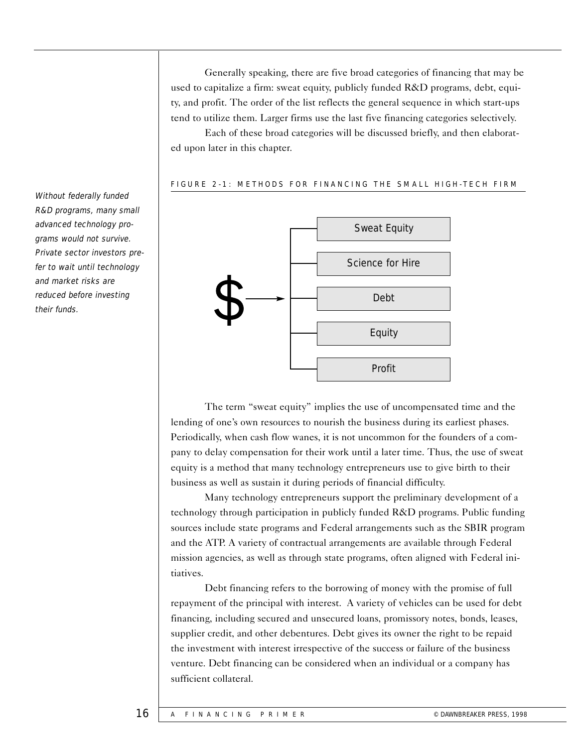Generally speaking, there are five broad categories of financing that may be used to capitalize a firm: sweat equity, publicly funded R&D programs, debt, equity, and profit. The order of the list reflects the general sequence in which start-ups tend to utilize them. Larger firms use the last five financing categories selectively.

Each of these broad categories will be discussed briefly, and then elaborated upon later in this chapter.

#### FIGURE 2-1: METHODS FOR FINANCING THE SMALL HIGH-TECH FIRM



The term "sweat equity" implies the use of uncompensated time and the lending of one's own resources to nourish the business during its earliest phases. Periodically, when cash flow wanes, it is not uncommon for the founders of a company to delay compensation for their work until a later time. Thus, the use of sweat equity is a method that many technology entrepreneurs use to give birth to their business as well as sustain it during periods of financial difficulty.

Many technology entrepreneurs support the preliminary development of a technology through participation in publicly funded R&D programs. Public funding sources include state programs and Federal arrangements such as the SBIR program and the ATP. A variety of contractual arrangements are available through Federal mission agencies, as well as through state programs, often aligned with Federal initiatives.

Debt financing refers to the borrowing of money with the promise of full repayment of the principal with interest. A variety of vehicles can be used for debt financing, including secured and unsecured loans, promissory notes, bonds, leases, supplier credit, and other debentures. Debt gives its owner the right to be repaid the investment with interest irrespective of the success or failure of the business venture. Debt financing can be considered when an individual or a company has sufficient collateral.

Without federally funded R&D programs, many small advanced technology programs would not survive. Private sector investors prefer to wait until technology and market risks are reduced before investing their funds.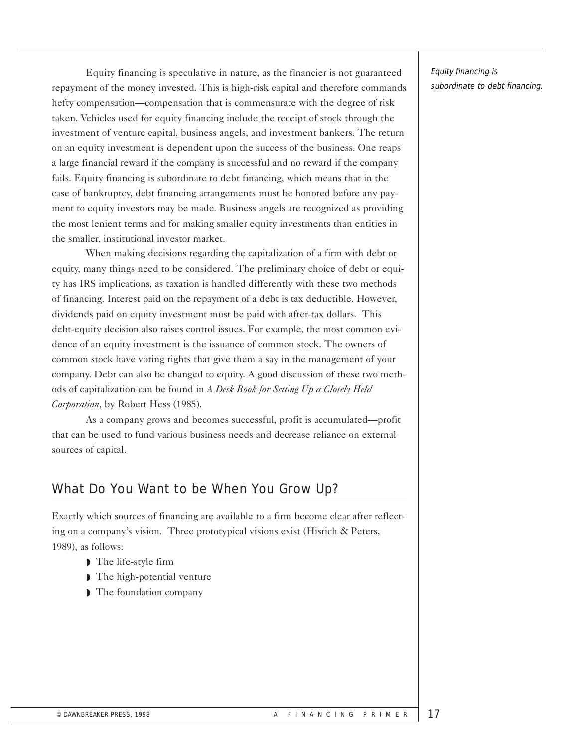Equity financing is speculative in nature, as the financier is not guaranteed repayment of the money invested. This is high-risk capital and therefore commands hefty compensation—compensation that is commensurate with the degree of risk taken. Vehicles used for equity financing include the receipt of stock through the investment of venture capital, business angels, and investment bankers. The return on an equity investment is dependent upon the success of the business. One reaps a large financial reward if the company is successful and no reward if the company fails. Equity financing is subordinate to debt financing, which means that in the case of bankruptcy, debt financing arrangements must be honored before any payment to equity investors may be made. Business angels are recognized as providing the most lenient terms and for making smaller equity investments than entities in the smaller, institutional investor market.

When making decisions regarding the capitalization of a firm with debt or equity, many things need to be considered. The preliminary choice of debt or equity has IRS implications, as taxation is handled differently with these two methods of financing. Interest paid on the repayment of a debt is tax deductible. However, dividends paid on equity investment must be paid with after-tax dollars. This debt-equity decision also raises control issues. For example, the most common evidence of an equity investment is the issuance of common stock. The owners of common stock have voting rights that give them a say in the management of your company. Debt can also be changed to equity. A good discussion of these two methods of capitalization can be found in *A Desk Book for Setting Up a Closely Held Corporation*, by Robert Hess (1985).

As a company grows and becomes successful, profit is accumulated—profit that can be used to fund various business needs and decrease reliance on external sources of capital.

# What Do You Want to be When You Grow Up?

Exactly which sources of financing are available to a firm become clear after reflecting on a company's vision. Three prototypical visions exist (Hisrich & Peters, 1989), as follows:

- ◗ The life-style firm
- The high-potential venture
- ◗ The foundation company

Equity financing is subordinate to debt financing.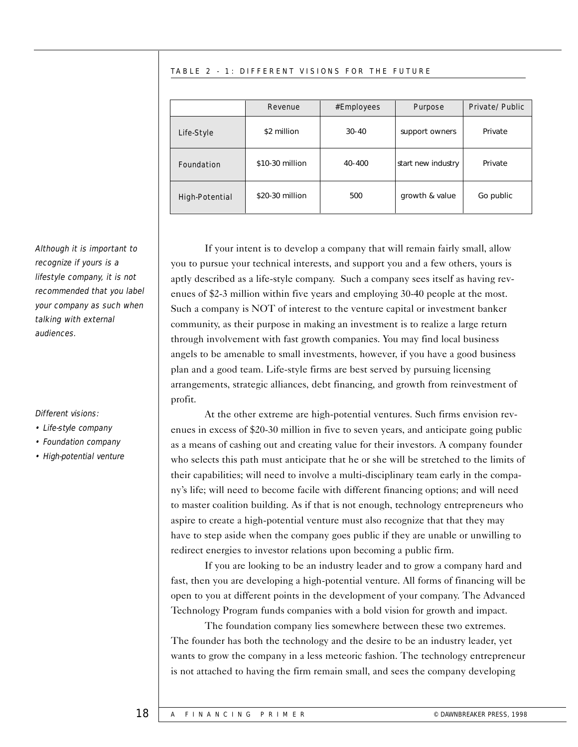#### TABLE 2 - 1: DIFFERENT VISIONS FOR THE FUTURE

|                       | Revenue         | #Employees | <b>Purpose</b>     | Private/Public |
|-----------------------|-----------------|------------|--------------------|----------------|
| Life-Style            | \$2 million     | $30-40$    | support owners     | Private        |
| <b>Foundation</b>     | \$10-30 million | 40-400     | start new industry | Private        |
| <b>High-Potential</b> | \$20-30 million | 500        | growth & value     | Go public      |

If your intent is to develop a company that will remain fairly small, allow you to pursue your technical interests, and support you and a few others, yours is aptly described as a life-style company. Such a company sees itself as having revenues of \$2-3 million within five years and employing 30-40 people at the most. Such a company is NOT of interest to the venture capital or investment banker community, as their purpose in making an investment is to realize a large return through involvement with fast growth companies. You may find local business angels to be amenable to small investments, however, if you have a good business plan and a good team. Life-style firms are best served by pursuing licensing arrangements, strategic alliances, debt financing, and growth from reinvestment of profit.

At the other extreme are high-potential ventures. Such firms envision revenues in excess of \$20-30 million in five to seven years, and anticipate going public as a means of cashing out and creating value for their investors. A company founder who selects this path must anticipate that he or she will be stretched to the limits of their capabilities; will need to involve a multi-disciplinary team early in the company's life; will need to become facile with different financing options; and will need to master coalition building. As if that is not enough, technology entrepreneurs who aspire to create a high-potential venture must also recognize that that they may have to step aside when the company goes public if they are unable or unwilling to redirect energies to investor relations upon becoming a public firm.

If you are looking to be an industry leader and to grow a company hard and fast, then you are developing a high-potential venture. All forms of financing will be open to you at different points in the development of your company. The Advanced Technology Program funds companies with a bold vision for growth and impact.

The foundation company lies somewhere between these two extremes. The founder has both the technology and the desire to be an industry leader, yet wants to grow the company in a less meteoric fashion. The technology entrepreneur is not attached to having the firm remain small, and sees the company developing

Although it is important to recognize if yours is a lifestyle company, it is not recommended that you label your company as such when talking with external audiences.

#### Different visions:

- Life-style company
- Foundation company
- High-potential venture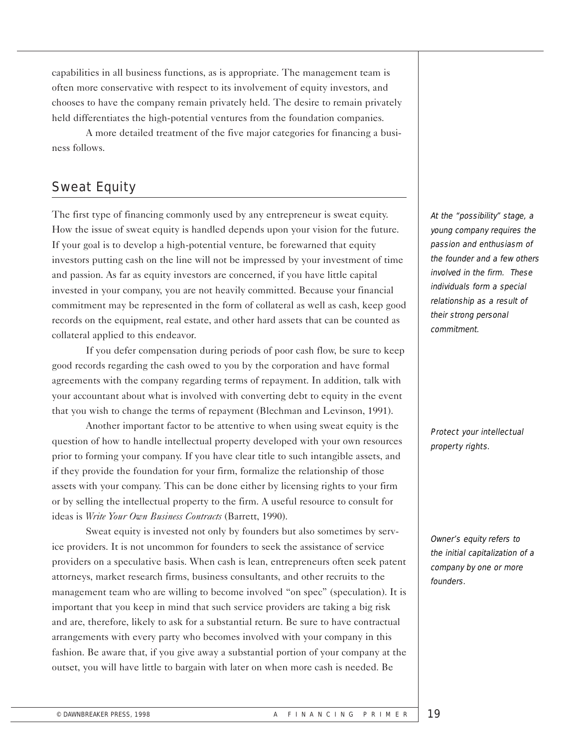capabilities in all business functions, as is appropriate. The management team is often more conservative with respect to its involvement of equity investors, and chooses to have the company remain privately held. The desire to remain privately held differentiates the high-potential ventures from the foundation companies.

A more detailed treatment of the five major categories for financing a business follows.

# Sweat Equity

The first type of financing commonly used by any entrepreneur is sweat equity. How the issue of sweat equity is handled depends upon your vision for the future. If your goal is to develop a high-potential venture, be forewarned that equity investors putting cash on the line will not be impressed by your investment of time and passion. As far as equity investors are concerned, if you have little capital invested in your company, you are not heavily committed. Because your financial commitment may be represented in the form of collateral as well as cash, keep good records on the equipment, real estate, and other hard assets that can be counted as collateral applied to this endeavor.

If you defer compensation during periods of poor cash flow, be sure to keep good records regarding the cash owed to you by the corporation and have formal agreements with the company regarding terms of repayment. In addition, talk with your accountant about what is involved with converting debt to equity in the event that you wish to change the terms of repayment (Blechman and Levinson, 1991).

Another important factor to be attentive to when using sweat equity is the question of how to handle intellectual property developed with your own resources prior to forming your company. If you have clear title to such intangible assets, and if they provide the foundation for your firm, formalize the relationship of those assets with your company. This can be done either by licensing rights to your firm or by selling the intellectual property to the firm. A useful resource to consult for ideas is *Write Your Own Business Contracts* (Barrett, 1990).

Sweat equity is invested not only by founders but also sometimes by service providers. It is not uncommon for founders to seek the assistance of service providers on a speculative basis. When cash is lean, entrepreneurs often seek patent attorneys, market research firms, business consultants, and other recruits to the management team who are willing to become involved "on spec" (speculation). It is important that you keep in mind that such service providers are taking a big risk and are, therefore, likely to ask for a substantial return. Be sure to have contractual arrangements with every party who becomes involved with your company in this fashion. Be aware that, if you give away a substantial portion of your company at the outset, you will have little to bargain with later on when more cash is needed. Be

At the "possibility" stage, a young company requires the passion and enthusiasm of the founder and a few others involved in the firm. These individuals form a special relationship as a result of their strong personal commitment.

Protect your intellectual property rights.

Owner's equity refers to the initial capitalization of a company by one or more founders.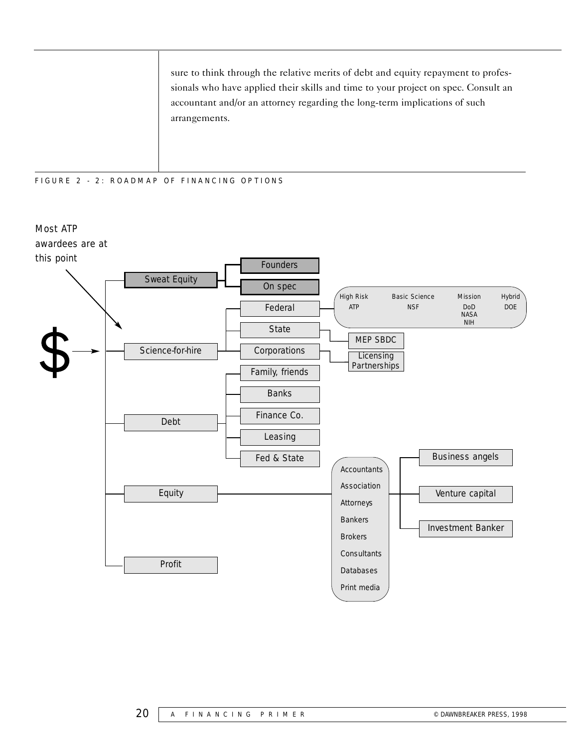sure to think through the relative merits of debt and equity repayment to professionals who have applied their skills and time to your project on spec. Consult an accountant and/or an attorney regarding the long-term implications of such arrangements.

#### FIGURE 2 - 2: ROADMAP OF FINANCING OPTIONS

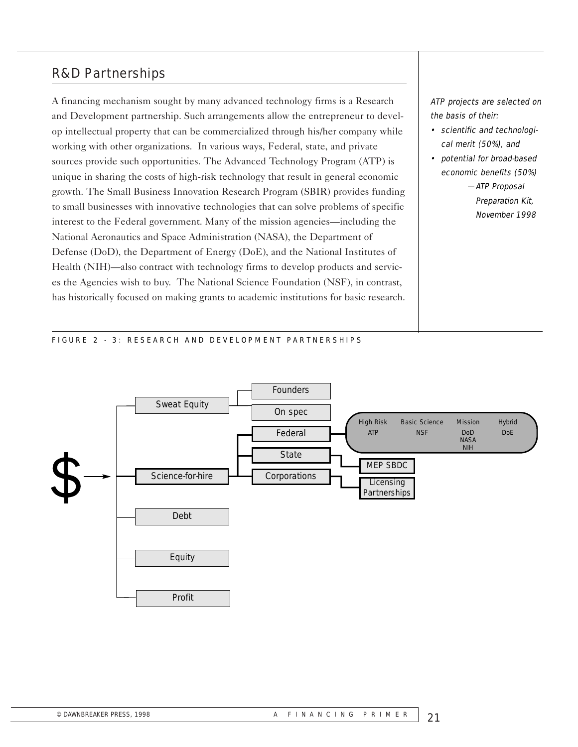## R&D Partnerships

A financing mechanism sought by many advanced technology firms is a Research and Development partnership. Such arrangements allow the entrepreneur to develop intellectual property that can be commercialized through his/her company while working with other organizations. In various ways, Federal, state, and private sources provide such opportunities. The Advanced Technology Program (ATP) is unique in sharing the costs of high-risk technology that result in general economic growth. The Small Business Innovation Research Program (SBIR) provides funding to small businesses with innovative technologies that can solve problems of specific interest to the Federal government. Many of the mission agencies—including the National Aeronautics and Space Administration (NASA), the Department of Defense (DoD), the Department of Energy (DoE), and the National Institutes of Health (NIH)—also contract with technology firms to develop products and services the Agencies wish to buy. The National Science Foundation (NSF), in contrast, has historically focused on making grants to academic institutions for basic research. ATP projects are selected on the basis of their:

- scientific and technological merit (50%), and
- potential for broad-based economic benefits (50%)

—ATP Proposal Preparation Kit, November 1998

#### FIGURE 2 - 3: RESEARCH AND DEVELOPMENT PARTNERSHIPS

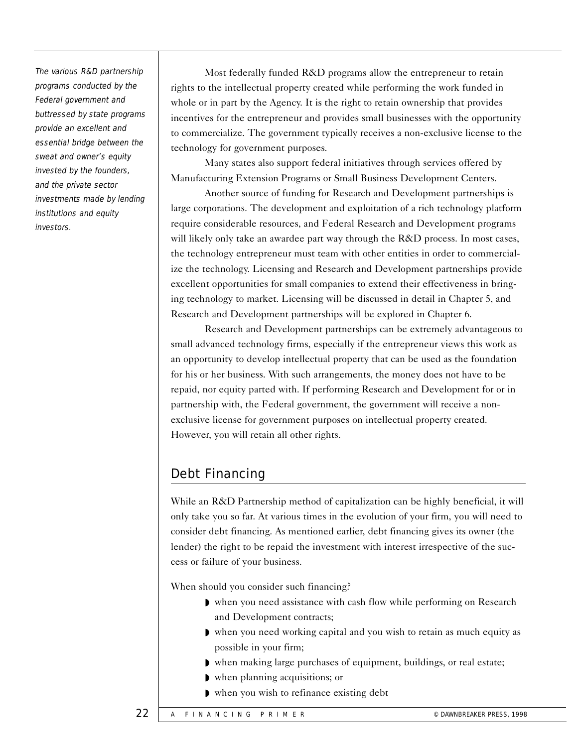The various R&D partnership programs conducted by the Federal government and buttressed by state programs provide an excellent and essential bridge between the sweat and owner's equity invested by the founders, and the private sector investments made by lending institutions and equity investors.

Most federally funded R&D programs allow the entrepreneur to retain rights to the intellectual property created while performing the work funded in whole or in part by the Agency. It is the right to retain ownership that provides incentives for the entrepreneur and provides small businesses with the opportunity to commercialize. The government typically receives a non-exclusive license to the technology for government purposes.

Many states also support federal initiatives through services offered by Manufacturing Extension Programs or Small Business Development Centers.

Another source of funding for Research and Development partnerships is large corporations. The development and exploitation of a rich technology platform require considerable resources, and Federal Research and Development programs will likely only take an awardee part way through the R&D process. In most cases, the technology entrepreneur must team with other entities in order to commercialize the technology. Licensing and Research and Development partnerships provide excellent opportunities for small companies to extend their effectiveness in bringing technology to market. Licensing will be discussed in detail in Chapter 5, and Research and Development partnerships will be explored in Chapter 6.

Research and Development partnerships can be extremely advantageous to small advanced technology firms, especially if the entrepreneur views this work as an opportunity to develop intellectual property that can be used as the foundation for his or her business. With such arrangements, the money does not have to be repaid, nor equity parted with. If performing Research and Development for or in partnership with, the Federal government, the government will receive a nonexclusive license for government purposes on intellectual property created. However, you will retain all other rights.

# Debt Financing

While an R&D Partnership method of capitalization can be highly beneficial, it will only take you so far. At various times in the evolution of your firm, you will need to consider debt financing. As mentioned earlier, debt financing gives its owner (the lender) the right to be repaid the investment with interest irrespective of the success or failure of your business.

When should you consider such financing?

- ◗ when you need assistance with cash flow while performing on Research and Development contracts;
- ◗ when you need working capital and you wish to retain as much equity as possible in your firm;
- ◗ when making large purchases of equipment, buildings, or real estate;
- ◗ when planning acquisitions; or
- ◗ when you wish to refinance existing debt

22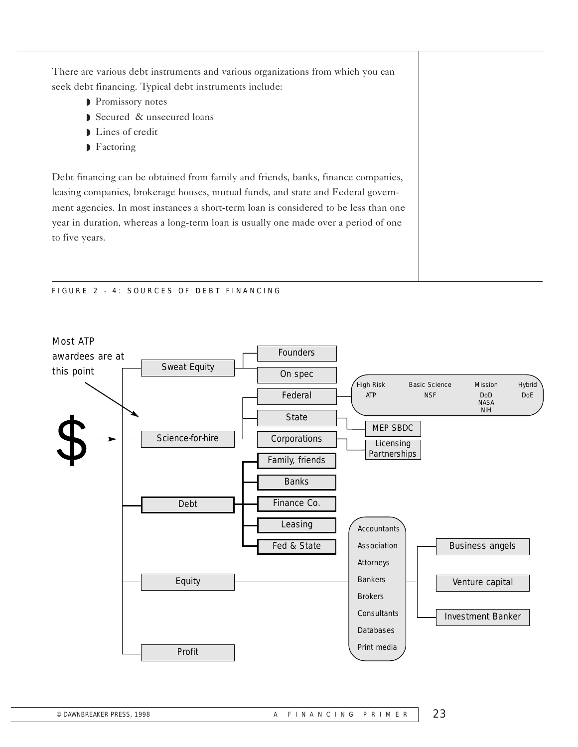There are various debt instruments and various organizations from which you can seek debt financing. Typical debt instruments include:

- ◗ Promissory notes
- ◗ Secured & unsecured loans
- ◗ Lines of credit
- ◗ Factoring

Debt financing can be obtained from family and friends, banks, finance companies, leasing companies, brokerage houses, mutual funds, and state and Federal government agencies. In most instances a short-term loan is considered to be less than one year in duration, whereas a long-term loan is usually one made over a period of one to five years.

#### FIGURE 2 - 4: SOURCES OF DEBT FINANCING

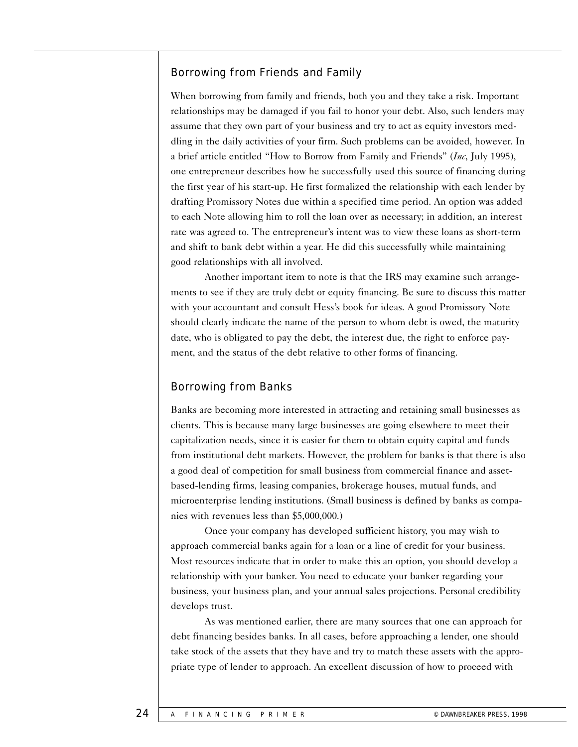## Borrowing from Friends and Family

When borrowing from family and friends, both you and they take a risk. Important relationships may be damaged if you fail to honor your debt. Also, such lenders may assume that they own part of your business and try to act as equity investors meddling in the daily activities of your firm. Such problems can be avoided, however. In a brief article entitled "How to Borrow from Family and Friends" (*Inc*, July 1995), one entrepreneur describes how he successfully used this source of financing during the first year of his start-up. He first formalized the relationship with each lender by drafting Promissory Notes due within a specified time period. An option was added to each Note allowing him to roll the loan over as necessary; in addition, an interest rate was agreed to. The entrepreneur's intent was to view these loans as short-term and shift to bank debt within a year. He did this successfully while maintaining good relationships with all involved.

Another important item to note is that the IRS may examine such arrangements to see if they are truly debt or equity financing. Be sure to discuss this matter with your accountant and consult Hess's book for ideas. A good Promissory Note should clearly indicate the name of the person to whom debt is owed, the maturity date, who is obligated to pay the debt, the interest due, the right to enforce payment, and the status of the debt relative to other forms of financing.

## Borrowing from Banks

Banks are becoming more interested in attracting and retaining small businesses as clients. This is because many large businesses are going elsewhere to meet their capitalization needs, since it is easier for them to obtain equity capital and funds from institutional debt markets. However, the problem for banks is that there is also a good deal of competition for small business from commercial finance and assetbased-lending firms, leasing companies, brokerage houses, mutual funds, and microenterprise lending institutions. (Small business is defined by banks as companies with revenues less than \$5,000,000.)

Once your company has developed sufficient history, you may wish to approach commercial banks again for a loan or a line of credit for your business. Most resources indicate that in order to make this an option, you should develop a relationship with your banker. You need to educate your banker regarding your business, your business plan, and your annual sales projections. Personal credibility develops trust.

As was mentioned earlier, there are many sources that one can approach for debt financing besides banks. In all cases, before approaching a lender, one should take stock of the assets that they have and try to match these assets with the appropriate type of lender to approach. An excellent discussion of how to proceed with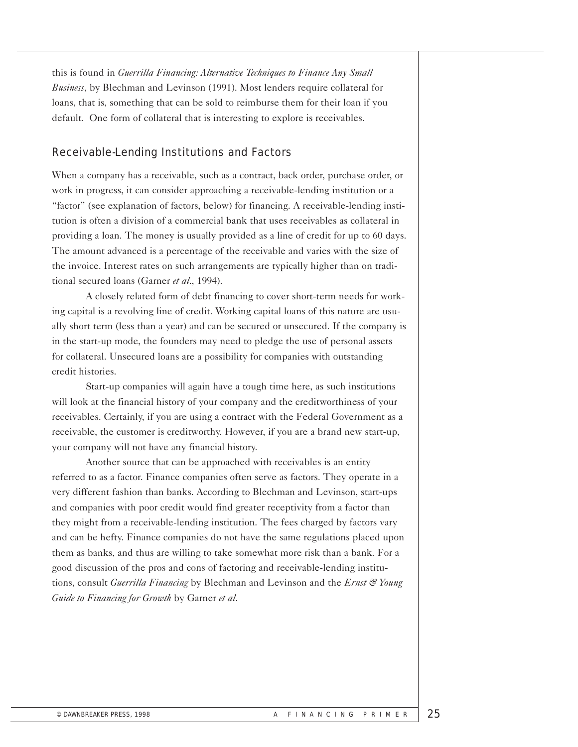this is found in *Guerrilla Financing: Alternative Techniques to Finance Any Small Business*, by Blechman and Levinson (1991). Most lenders require collateral for loans, that is, something that can be sold to reimburse them for their loan if you default. One form of collateral that is interesting to explore is receivables.

## Receivable-Lending Institutions and Factors

When a company has a receivable, such as a contract, back order, purchase order, or work in progress, it can consider approaching a receivable-lending institution or a "factor" (see explanation of factors, below) for financing. A receivable-lending institution is often a division of a commercial bank that uses receivables as collateral in providing a loan. The money is usually provided as a line of credit for up to 60 days. The amount advanced is a percentage of the receivable and varies with the size of the invoice. Interest rates on such arrangements are typically higher than on traditional secured loans (Garner *et al*., 1994).

A closely related form of debt financing to cover short-term needs for working capital is a revolving line of credit. Working capital loans of this nature are usually short term (less than a year) and can be secured or unsecured. If the company is in the start-up mode, the founders may need to pledge the use of personal assets for collateral. Unsecured loans are a possibility for companies with outstanding credit histories.

Start-up companies will again have a tough time here, as such institutions will look at the financial history of your company and the creditworthiness of your receivables. Certainly, if you are using a contract with the Federal Government as a receivable, the customer is creditworthy. However, if you are a brand new start-up, your company will not have any financial history.

Another source that can be approached with receivables is an entity referred to as a factor. Finance companies often serve as factors. They operate in a very different fashion than banks. According to Blechman and Levinson, start-ups and companies with poor credit would find greater receptivity from a factor than they might from a receivable-lending institution. The fees charged by factors vary and can be hefty. Finance companies do not have the same regulations placed upon them as banks, and thus are willing to take somewhat more risk than a bank. For a good discussion of the pros and cons of factoring and receivable-lending institutions, consult *Guerrilla Financing* by Blechman and Levinson and the *Ernst & Young Guide to Financing for Growth* by Garner *et al*.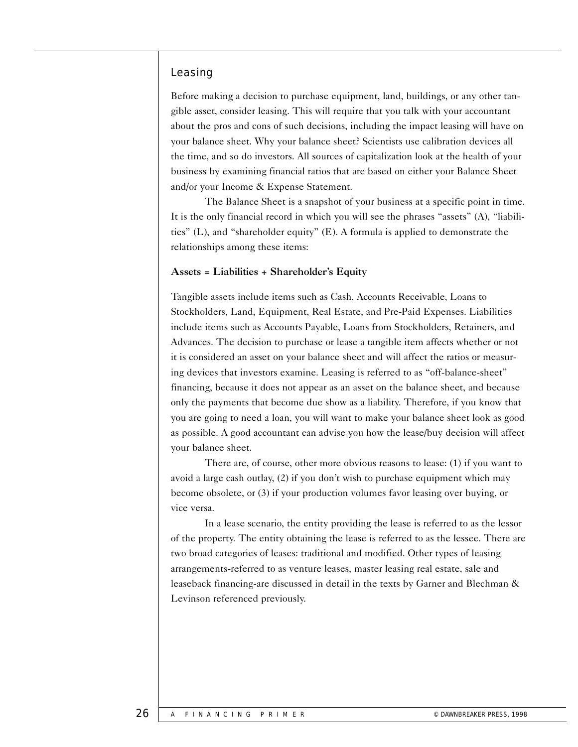## Leasing

Before making a decision to purchase equipment, land, buildings, or any other tangible asset, consider leasing. This will require that you talk with your accountant about the pros and cons of such decisions, including the impact leasing will have on your balance sheet. Why your balance sheet? Scientists use calibration devices all the time, and so do investors. All sources of capitalization look at the health of your business by examining financial ratios that are based on either your Balance Sheet and/or your Income & Expense Statement.

The Balance Sheet is a snapshot of your business at a specific point in time. It is the only financial record in which you will see the phrases "assets" (A), "liabilities" (L), and "shareholder equity" (E). A formula is applied to demonstrate the relationships among these items:

#### Assets = Liabilities + Shareholder's Equity

Tangible assets include items such as Cash, Accounts Receivable, Loans to Stockholders, Land, Equipment, Real Estate, and Pre-Paid Expenses. Liabilities include items such as Accounts Payable, Loans from Stockholders, Retainers, and Advances. The decision to purchase or lease a tangible item affects whether or not it is considered an asset on your balance sheet and will affect the ratios or measuring devices that investors examine. Leasing is referred to as "off-balance-sheet" financing, because it does not appear as an asset on the balance sheet, and because only the payments that become due show as a liability. Therefore, if you know that you are going to need a loan, you will want to make your balance sheet look as good as possible. A good accountant can advise you how the lease/buy decision will affect your balance sheet.

There are, of course, other more obvious reasons to lease: (1) if you want to avoid a large cash outlay, (2) if you don't wish to purchase equipment which may become obsolete, or (3) if your production volumes favor leasing over buying, or vice versa.

In a lease scenario, the entity providing the lease is referred to as the lessor of the property. The entity obtaining the lease is referred to as the lessee. There are two broad categories of leases: traditional and modified. Other types of leasing arrangements-referred to as venture leases, master leasing real estate, sale and leaseback financing-are discussed in detail in the texts by Garner and Blechman & Levinson referenced previously.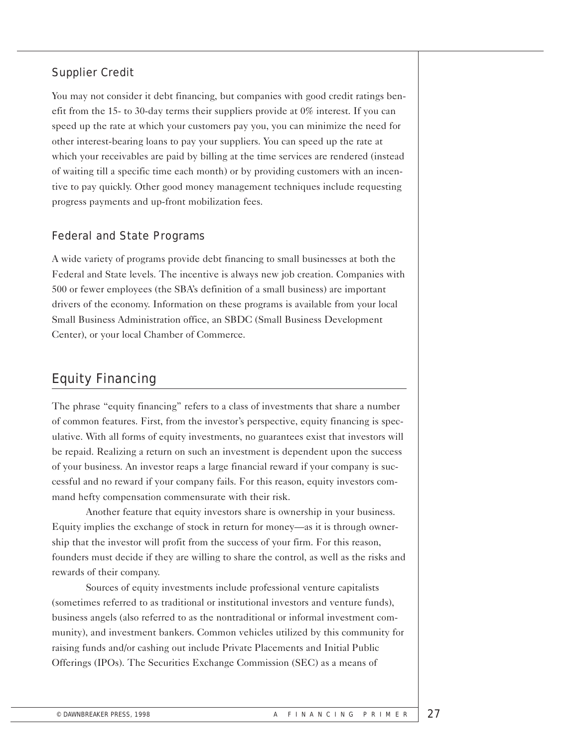## Supplier Credit

You may not consider it debt financing, but companies with good credit ratings benefit from the 15- to 30-day terms their suppliers provide at 0% interest. If you can speed up the rate at which your customers pay you, you can minimize the need for other interest-bearing loans to pay your suppliers. You can speed up the rate at which your receivables are paid by billing at the time services are rendered (instead of waiting till a specific time each month) or by providing customers with an incentive to pay quickly. Other good money management techniques include requesting progress payments and up-front mobilization fees.

## Federal and State Programs

A wide variety of programs provide debt financing to small businesses at both the Federal and State levels. The incentive is always new job creation. Companies with 500 or fewer employees (the SBA's definition of a small business) are important drivers of the economy. Information on these programs is available from your local Small Business Administration office, an SBDC (Small Business Development Center), or your local Chamber of Commerce.

# Equity Financing

The phrase "equity financing" refers to a class of investments that share a number of common features. First, from the investor's perspective, equity financing is speculative. With all forms of equity investments, no guarantees exist that investors will be repaid. Realizing a return on such an investment is dependent upon the success of your business. An investor reaps a large financial reward if your company is successful and no reward if your company fails. For this reason, equity investors command hefty compensation commensurate with their risk.

Another feature that equity investors share is ownership in your business. Equity implies the exchange of stock in return for money—as it is through ownership that the investor will profit from the success of your firm. For this reason, founders must decide if they are willing to share the control, as well as the risks and rewards of their company.

Sources of equity investments include professional venture capitalists (sometimes referred to as traditional or institutional investors and venture funds), business angels (also referred to as the nontraditional or informal investment community), and investment bankers. Common vehicles utilized by this community for raising funds and/or cashing out include Private Placements and Initial Public Offerings (IPOs). The Securities Exchange Commission (SEC) as a means of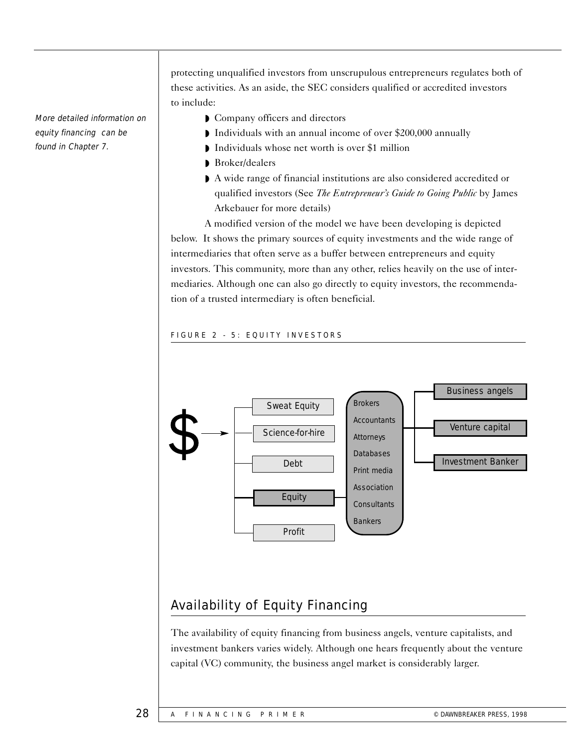More detailed information on equity financing can be found in Chapter 7.

protecting unqualified investors from unscrupulous entrepreneurs regulates both of these activities. As an aside, the SEC considers qualified or accredited investors to include:

- ◗ Company officers and directors
- ◗ Individuals with an annual income of over \$200,000 annually
- ◗ Individuals whose net worth is over \$1 million
- ◗ Broker/dealers
- ◗ A wide range of financial institutions are also considered accredited or qualified investors (See *The Entrepreneur's Guide to Going Public* by James Arkebauer for more details)

A modified version of the model we have been developing is depicted below. It shows the primary sources of equity investments and the wide range of intermediaries that often serve as a buffer between entrepreneurs and equity investors. This community, more than any other, relies heavily on the use of intermediaries. Although one can also go directly to equity investors, the recommendation of a trusted intermediary is often beneficial.

#### FIGURE 2 - 5: EQUITY INVESTORS



# Availability of Equity Financing

The availability of equity financing from business angels, venture capitalists, and investment bankers varies widely. Although one hears frequently about the venture capital (VC) community, the business angel market is considerably larger.

#### 28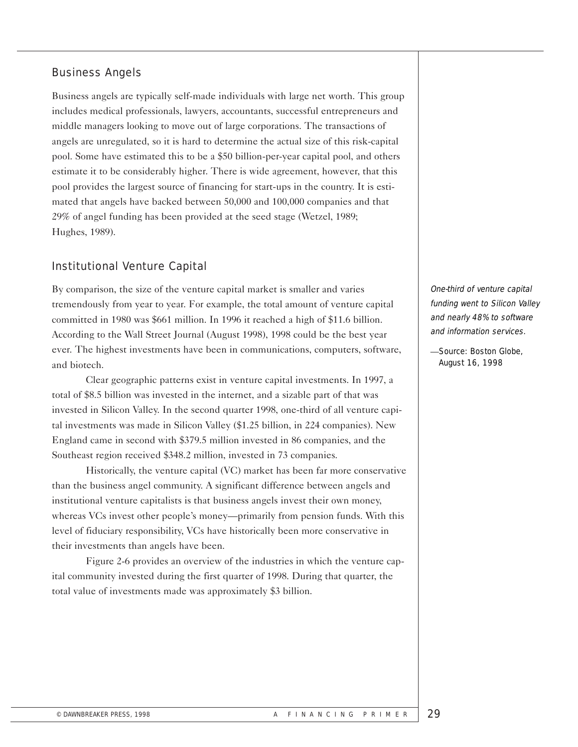## Business Angels

Business angels are typically self-made individuals with large net worth. This group includes medical professionals, lawyers, accountants, successful entrepreneurs and middle managers looking to move out of large corporations. The transactions of angels are unregulated, so it is hard to determine the actual size of this risk-capital pool. Some have estimated this to be a \$50 billion-per-year capital pool, and others estimate it to be considerably higher. There is wide agreement, however, that this pool provides the largest source of financing for start-ups in the country. It is estimated that angels have backed between 50,000 and 100,000 companies and that 29% of angel funding has been provided at the seed stage (Wetzel, 1989; Hughes, 1989).

## Institutional Venture Capital

By comparison, the size of the venture capital market is smaller and varies tremendously from year to year. For example, the total amount of venture capital committed in 1980 was \$661 million. In 1996 it reached a high of \$11.6 billion. According to the Wall Street Journal (August 1998), 1998 could be the best year ever. The highest investments have been in communications, computers, software, and biotech.

Clear geographic patterns exist in venture capital investments. In 1997, a total of \$8.5 billion was invested in the internet, and a sizable part of that was invested in Silicon Valley. In the second quarter 1998, one-third of all venture capital investments was made in Silicon Valley (\$1.25 billion, in 224 companies). New England came in second with \$379.5 million invested in 86 companies, and the Southeast region received \$348.2 million, invested in 73 companies.

Historically, the venture capital (VC) market has been far more conservative than the business angel community. A significant difference between angels and institutional venture capitalists is that business angels invest their own money, whereas VCs invest other people's money—primarily from pension funds. With this level of fiduciary responsibility, VCs have historically been more conservative in their investments than angels have been.

Figure 2-6 provides an overview of the industries in which the venture capital community invested during the first quarter of 1998. During that quarter, the total value of investments made was approximately \$3 billion.

One-third of venture capital funding went to Silicon Valley and nearly 48% to software and information services.

—Source: Boston Globe, August 16, 1998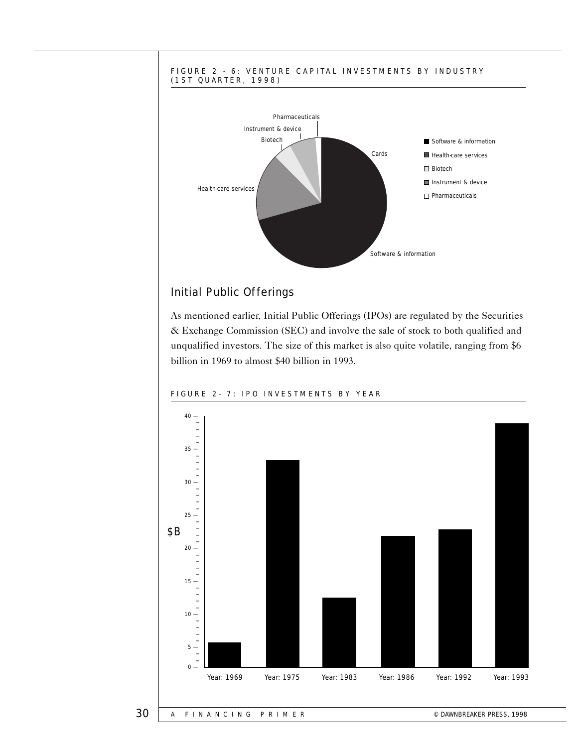

## Initial Public Offerings

As mentioned earlier, Initial Public Offerings (IPOs) are regulated by the Securities & Exchange Commission (SEC) and involve the sale of stock to both qualified and unqualified investors. The size of this market is also quite volatile, ranging from \$6 billion in 1969 to almost \$40 billion in 1993.



#### FIGURE 2- 7: IPO INVESTMENTS BY YEAR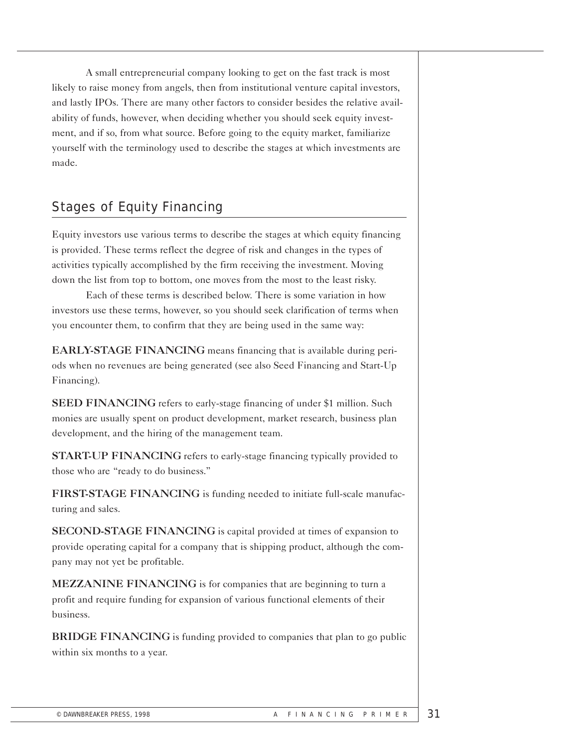A small entrepreneurial company looking to get on the fast track is most likely to raise money from angels, then from institutional venture capital investors, and lastly IPOs. There are many other factors to consider besides the relative availability of funds, however, when deciding whether you should seek equity investment, and if so, from what source. Before going to the equity market, familiarize yourself with the terminology used to describe the stages at which investments are made.

# Stages of Equity Financing

Equity investors use various terms to describe the stages at which equity financing is provided. These terms reflect the degree of risk and changes in the types of activities typically accomplished by the firm receiving the investment. Moving down the list from top to bottom, one moves from the most to the least risky.

Each of these terms is described below. There is some variation in how investors use these terms, however, so you should seek clarification of terms when you encounter them, to confirm that they are being used in the same way:

EARLY-STAGE FINANCING means financing that is available during periods when no revenues are being generated (see also Seed Financing and Start-Up Financing).

SEED FINANCING refers to early-stage financing of under \$1 million. Such monies are usually spent on product development, market research, business plan development, and the hiring of the management team.

START-UP FINANCING refers to early-stage financing typically provided to those who are "ready to do business."

FIRST-STAGE FINANCING is funding needed to initiate full-scale manufacturing and sales.

SECOND-STAGE FINANCING is capital provided at times of expansion to provide operating capital for a company that is shipping product, although the company may not yet be profitable.

MEZZANINE FINANCING is for companies that are beginning to turn a profit and require funding for expansion of various functional elements of their business.

BRIDGE FINANCING is funding provided to companies that plan to go public within six months to a year.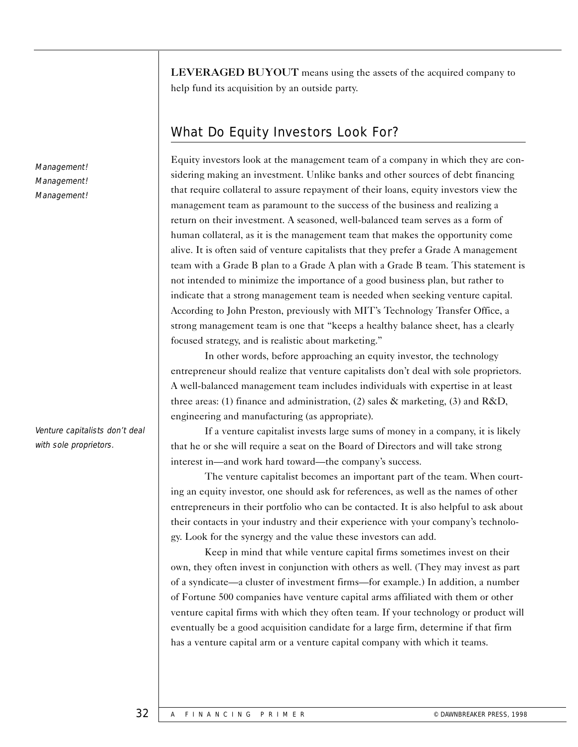Management! Management! Management!

Venture capitalists don't deal with sole proprietors.

LEVERAGED BUYOUT means using the assets of the acquired company to help fund its acquisition by an outside party.

# What Do Equity Investors Look For?

Equity investors look at the management team of a company in which they are considering making an investment. Unlike banks and other sources of debt financing that require collateral to assure repayment of their loans, equity investors view the management team as paramount to the success of the business and realizing a return on their investment. A seasoned, well-balanced team serves as a form of human collateral, as it is the management team that makes the opportunity come alive. It is often said of venture capitalists that they prefer a Grade A management team with a Grade B plan to a Grade A plan with a Grade B team. This statement is not intended to minimize the importance of a good business plan, but rather to indicate that a strong management team is needed when seeking venture capital. According to John Preston, previously with MIT's Technology Transfer Office, a strong management team is one that "keeps a healthy balance sheet, has a clearly focused strategy, and is realistic about marketing."

In other words, before approaching an equity investor, the technology entrepreneur should realize that venture capitalists don't deal with sole proprietors. A well-balanced management team includes individuals with expertise in at least three areas: (1) finance and administration, (2) sales  $\&$  marketing, (3) and R&D, engineering and manufacturing (as appropriate).

If a venture capitalist invests large sums of money in a company, it is likely that he or she will require a seat on the Board of Directors and will take strong interest in—and work hard toward—the company's success.

The venture capitalist becomes an important part of the team. When courting an equity investor, one should ask for references, as well as the names of other entrepreneurs in their portfolio who can be contacted. It is also helpful to ask about their contacts in your industry and their experience with your company's technology. Look for the synergy and the value these investors can add.

Keep in mind that while venture capital firms sometimes invest on their own, they often invest in conjunction with others as well. (They may invest as part of a syndicate—a cluster of investment firms—for example.) In addition, a number of Fortune 500 companies have venture capital arms affiliated with them or other venture capital firms with which they often team. If your technology or product will eventually be a good acquisition candidate for a large firm, determine if that firm has a venture capital arm or a venture capital company with which it teams.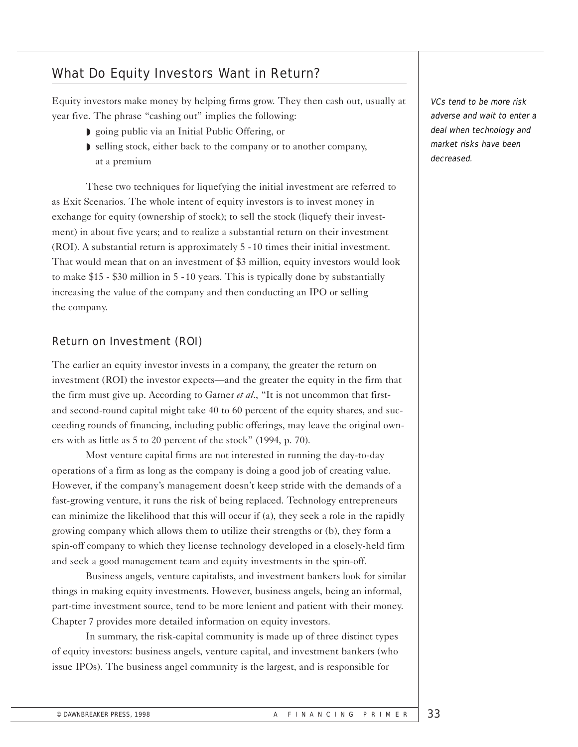## What Do Equity Investors Want in Return?

Equity investors make money by helping firms grow. They then cash out, usually at year five. The phrase "cashing out" implies the following:

- ◗ going public via an Initial Public Offering, or
- ◗ selling stock, either back to the company or to another company, at a premium

These two techniques for liquefying the initial investment are referred to as Exit Scenarios. The whole intent of equity investors is to invest money in exchange for equity (ownership of stock); to sell the stock (liquefy their investment) in about five years; and to realize a substantial return on their investment (ROI). A substantial return is approximately 5 - 10 times their initial investment. That would mean that on an investment of \$3 million, equity investors would look to make \$15 - \$30 million in 5 - 10 years. This is typically done by substantially increasing the value of the company and then conducting an IPO or selling the company.

## Return on Investment (ROI)

The earlier an equity investor invests in a company, the greater the return on investment (ROI) the investor expects—and the greater the equity in the firm that the firm must give up. According to Garner *et al*., "It is not uncommon that firstand second-round capital might take 40 to 60 percent of the equity shares, and succeeding rounds of financing, including public offerings, may leave the original owners with as little as 5 to 20 percent of the stock" (1994, p. 70).

Most venture capital firms are not interested in running the day-to-day operations of a firm as long as the company is doing a good job of creating value. However, if the company's management doesn't keep stride with the demands of a fast-growing venture, it runs the risk of being replaced. Technology entrepreneurs can minimize the likelihood that this will occur if (a), they seek a role in the rapidly growing company which allows them to utilize their strengths or (b), they form a spin-off company to which they license technology developed in a closely-held firm and seek a good management team and equity investments in the spin-off.

Business angels, venture capitalists, and investment bankers look for similar things in making equity investments. However, business angels, being an informal, part-time investment source, tend to be more lenient and patient with their money. Chapter 7 provides more detailed information on equity investors.

In summary, the risk-capital community is made up of three distinct types of equity investors: business angels, venture capital, and investment bankers (who issue IPOs). The business angel community is the largest, and is responsible for

VCs tend to be more risk adverse and wait to enter a deal when technology and market risks have been decreased.